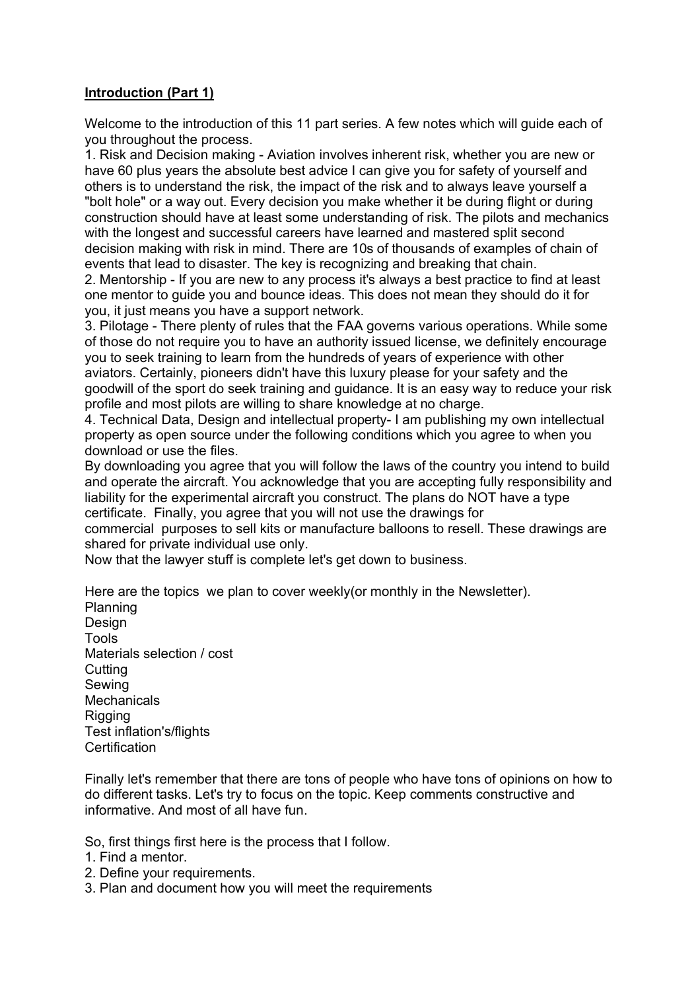## **Introduction (Part 1)**

Welcome to the introduction of this 11 part series. A few notes which will guide each of you throughout the process.

1. Risk and Decision making - Aviation involves inherent risk, whether you are new or have 60 plus years the absolute best advice I can give you for safety of yourself and others is to understand the risk, the impact of the risk and to always leave yourself a "bolt hole" or a way out. Every decision you make whether it be during flight or during construction should have at least some understanding of risk. The pilots and mechanics with the longest and successful careers have learned and mastered split second decision making with risk in mind. There are 10s of thousands of examples of chain of events that lead to disaster. The key is recognizing and breaking that chain.

2. Mentorship - If you are new to any process it's always a best practice to find at least one mentor to guide you and bounce ideas. This does not mean they should do it for you, it just means you have a support network.

3. Pilotage - There plenty of rules that the FAA governs various operations. While some of those do not require you to have an authority issued license, we definitely encourage you to seek training to learn from the hundreds of years of experience with other aviators. Certainly, pioneers didn't have this luxury please for your safety and the goodwill of the sport do seek training and guidance. It is an easy way to reduce your risk profile and most pilots are willing to share knowledge at no charge.

4. Technical Data, Design and intellectual property- I am publishing my own intellectual property as open source under the following conditions which you agree to when you download or use the files.

By downloading you agree that you will follow the laws of the country you intend to build and operate the aircraft. You acknowledge that you are accepting fully responsibility and liability for the experimental aircraft you construct. The plans do NOT have a type certificate. Finally, you agree that you will not use the drawings for

commercial purposes to sell kits or manufacture balloons to resell. These drawings are shared for private individual use only.

Now that the lawyer stuff is complete let's get down to business.

Here are the topics we plan to cover weekly(or monthly in the Newsletter). Planning Design Tools Materials selection / cost **Cutting** Sewing **Mechanicals Rigging** Test inflation's/flights **Certification** 

Finally let's remember that there are tons of people who have tons of opinions on how to do different tasks. Let's try to focus on the topic. Keep comments constructive and informative. And most of all have fun.

So, first things first here is the process that I follow.

1. Find a mentor.

- 2. Define your requirements.
- 3. Plan and document how you will meet the requirements